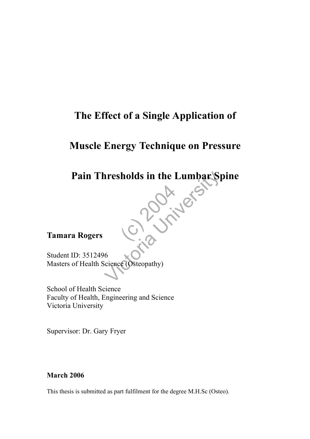# **The Effect of a Single Application of**

# **Muscle Energy Technique on Pressure**

France (Osteopathy) **Pain Thresholds in the Lumbar Spine**

(c) 2012

## **Tamara Rogers**

Student ID: 3512496 Masters of Health Science (Osteopathy)

School of Health Science Faculty of Health, Engineering and Science Victoria University

Supervisor: Dr. Gary Fryer

### **March 2006**

This thesis is submitted as part fulfilment for the degree M.H.Sc (Osteo).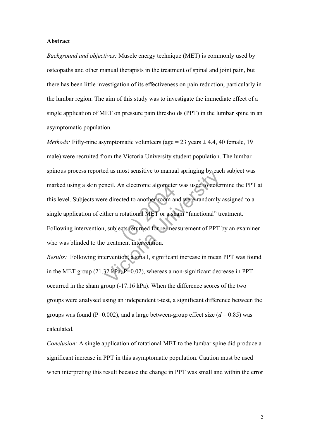#### **Abstract**

*Background and objectives:* Muscle energy technique (MET) is commonly used by osteopaths and other manual therapists in the treatment of spinal and joint pain, but there has been little investigation of its effectiveness on pain reduction, particularly in the lumbar region. The aim of this study was to investigate the immediate effect of a single application of MET on pressure pain thresholds (PPT) in the lumbar spine in an asymptomatic population.

An electronic algometer<br>
cted to another room an<br>
rotational MET or a sh<br>
rects returned for re-mea<br>
ment intervention The directed to another room and were randomly<br>there a rotational MET or a sham "functional" tr<br>subjects returned for re-measurement of PPT l<br>treatment intervention.<br>ervention; a small, significant increase in mean<br>32 kPa, *Methods:* Fifty-nine asymptomatic volunteers (age  $= 23$  years  $\pm 4.4$ , 40 female, 19 male) were recruited from the Victoria University student population. The lumbar spinous process reported as most sensitive to manual springing by each subject was marked using a skin pencil. An electronic algometer was used to determine the PPT at this level. Subjects were directed to another room and were randomly assigned to a single application of either a rotational MET or a sham "functional" treatment. Following intervention, subjects returned for re-measurement of PPT by an examiner who was blinded to the treatment intervention.

*Results:* Following intervention, a small, significant increase in mean PPT was found in the MET group (21.32 kPa,  $P=0.02$ ), whereas a non-significant decrease in PPT occurred in the sham group (-17.16 kPa). When the difference scores of the two groups were analysed using an independent t-test, a significant difference between the groups was found (P=0.002), and a large between-group effect size  $(d = 0.85)$  was calculated.

*Conclusion:* A single application of rotational MET to the lumbar spine did produce a significant increase in PPT in this asymptomatic population. Caution must be used when interpreting this result because the change in PPT was small and within the error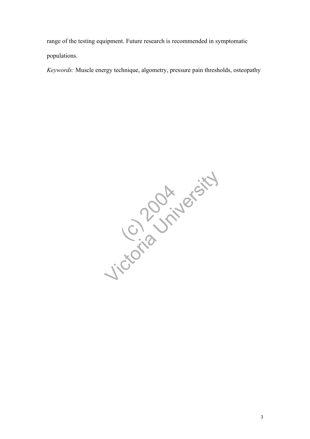range of the testing equipment. Future research is recommended in symptomatic populations.

*Keywords:* Muscle energy technique, algometry, pressure pain thresholds, osteopathy

(c) 2012 Jicordia University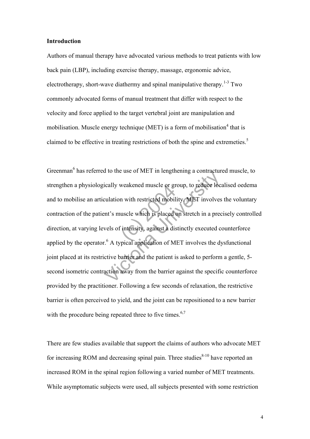#### **Introduction**

Authors of manual therapy have advocated various methods to treat patients with low back pain (LBP), including exercise therapy, massage, ergonomic advice, electrotherapy, short-wave diathermy and spinal manipulative therapy.<sup>1-3</sup> Two commonly advocated forms of manual treatment that differ with respect to the velocity and force applied to the target vertebral joint are manipulation and mobilisation. Muscle energy technique (MET) is a form of mobilisation<sup>4</sup> that is claimed to be effective in treating restrictions of both the spine and extremeties. 5

weakened muscle or gr<br>n with restricted mobil<br>uscle which is placed<br>intensity, against a dis<br>intensity, against a dis ically weakened muscle or group, to reduce locate<br>ically weakened muscle or group, to reduce locate<br>culation with restricted mobility. MET involves<br>nt's muscle which is placed on stretch in a prec<br>vels of intensity, agains Greenman<sup>6</sup> has referred to the use of MET in lengthening a contractured muscle, to strengthen a physiologically weakened muscle or group, to reduce localised oedema and to mobilise an articulation with restricted mobility. MET involves the voluntary contraction of the patient's muscle which is placed on stretch in a precisely controlled direction, at varying levels of intensity, against a distinctly executed counterforce applied by the operator.<sup>6</sup> A typical application of MET involves the dysfunctional joint placed at its restrictive barrier and the patient is asked to perform a gentle, 5 second isometric contraction away from the barrier against the specific counterforce provided by the practitioner. Following a few seconds of relaxation, the restrictive barrier is often perceived to yield, and the joint can be repositioned to a new barrier with the procedure being repeated three to five times.<sup>6,7</sup>

There are few studies available that support the claims of authors who advocate MET for increasing ROM and decreasing spinal pain. Three studies<sup>8-10</sup> have reported an increased ROM in the spinal region following a varied number of MET treatments. While asymptomatic subjects were used, all subjects presented with some restriction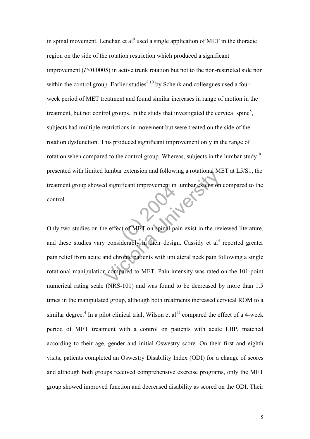The University of MET on Spinal particular the Contract of MET on Spinal particular the Contract of the Contract of the Contract of the Contract of the Contract of the Contract of the Contract of the Contract of the Contra in spinal movement. Lenehan et al<sup>9</sup> used a single application of MET in the thoracic region on the side of the rotation restriction which produced a significant improvement (*P*<0.0005) in active trunk rotation but not to the non-restricted side nor within the control group. Earlier studies $8,10$  by Schenk and colleagues used a fourweek period of MET treatment and found similar increases in range of motion in the treatment, but not control groups. In the study that investigated the cervical spine<sup>8</sup>, subjects had multiple restrictions in movement but were treated on the side of the rotation dysfunction. This produced significant improvement only in the range of rotation when compared to the control group. Whereas, subjects in the lumbar study<sup>10</sup> presented with limited lumbar extension and following a rotational MET at L5/S1, the treatment group showed significant improvement in lumbar extension compared to the control.

d significant improvement in lumbar extension<br>d significant improvement in lumbar extension<br>d significant improvement in lumbar extension<br>e effect of MET on spinal pain exist in the rev<br>considerably in their design. Cassid Only two studies on the effect of MET on spinal pain exist in the reviewed literature, and these studies vary considerably in their design. Cassidy et al<sup>4</sup> reported greater pain relief from acute and chronic patients with unilateral neck pain following a single rotational manipulation compared to MET. Pain intensity was rated on the 101-point numerical rating scale (NRS-101) and was found to be decreased by more than 1.5 times in the manipulated group, although both treatments increased cervical ROM to a similar degree.<sup>4</sup> In a pilot clinical trial, Wilson et al<sup>11</sup> compared the effect of a 4-week period of MET treatment with a control on patients with acute LBP, matched according to their age, gender and initial Oswestry score. On their first and eighth visits, patients completed an Oswestry Disability Index (ODI) for a change of scores and although both groups received comprehensive exercise programs, only the MET group showed improved function and decreased disability as scored on the ODI. Their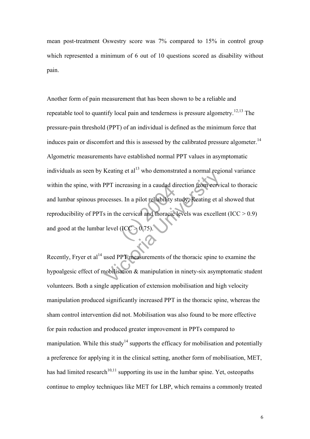mean post-treatment Oswestry score was 7% compared to 15% in control group which represented a minimum of 6 out of 10 questions scored as disability without pain.

creasing in a caudad diverse.<br>
E. In a pilot reliability s<br>
e cervical and thoracic<br>
(ICC > 0,75). PPT increasing in a caudad direction from eervices<br>
Dependent of the services of the cervical and thoracic levels was excelled<br>
University of the cervical and thoracic levels was excelled<br>
University of the services of the Another form of pain measurement that has been shown to be a reliable and repeatable tool to quantify local pain and tenderness is pressure algometry.<sup>12,13</sup> The pressure-pain threshold (PPT) of an individual is defined as the minimum force that induces pain or discomfort and this is assessed by the calibrated pressure algometer.<sup>14</sup> Algometric measurements have established normal PPT values in asymptomatic individuals as seen by Keating et  $al<sup>13</sup>$  who demonstrated a normal regional variance within the spine, with PPT increasing in a caudad direction from cervical to thoracic and lumbar spinous processes. In a pilot reliability study, Keating et al showed that reproducibility of PPTs in the cervical and thoracic levels was excellent (ICC > 0.9) and good at the lumbar level  $(ICC > 0.75)$ .

Recently, Fryer et al<sup>14</sup> used PPT measurements of the thoracic spine to examine the hypoalgesic effect of mobilisation & manipulation in ninety-six asymptomatic student volunteers. Both a single application of extension mobilisation and high velocity manipulation produced significantly increased PPT in the thoracic spine, whereas the sham control intervention did not. Mobilisation was also found to be more effective for pain reduction and produced greater improvement in PPTs compared to manipulation. While this study<sup>14</sup> supports the efficacy for mobilisation and potentially a preference for applying it in the clinical setting, another form of mobilisation, MET, has had limited research<sup>10,11</sup> supporting its use in the lumbar spine. Yet, osteopaths continue to employ techniques like MET for LBP, which remains a commonly treated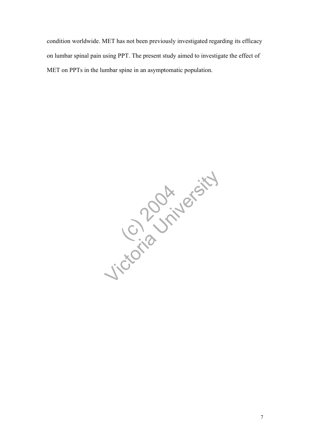condition worldwide. MET has not been previously investigated regarding its efficacy on lumbar spinal pain using PPT. The present study aimed to investigate the effect of MET on PPTs in the lumbar spine in an asymptomatic population.

(c) 2012 Jicordia University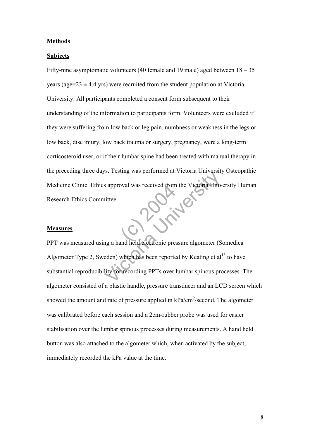#### **Methods**

#### **Subjects**

beld electronic press Fifty-nine asymptomatic volunteers (40 female and 19 male) aged between  $18 - 35$ years (age= $23 \pm 4.4$  yrs) were recruited from the student population at Victoria University. All participants completed a consent form subsequent to their understanding of the information to participants form. Volunteers were excluded if they were suffering from low back or leg pain, numbness or weakness in the legs or low back, disc injury, low back trauma or surgery, pregnancy, were a long-term corticosteroid user, or if their lumbar spine had been treated with manual therapy in the preceding three days. Testing was performed at Victoria University Osteopathic Medicine Clinic. Ethics approval was received from the Victoria University Human Research Ethics Committee.

#### **Measures**

S. Testing was performed at victoria University<br>a approval was received from the Victoria University<br>ittee.<br>In the Victoria University<br>of the Victoria University<br>of the Victoria University<br>of the Victoria University<br>of the PPT was measured using a hand held electronic pressure algometer (Somedica Algometer Type 2, Sweden) which has been reported by Keating et al<sup>13</sup> to have substantial reproducibility for recording PPTs over lumbar spinous processes. The algometer consisted of a plastic handle, pressure transducer and an LCD screen which showed the amount and rate of pressure applied in  $kPa/cm<sup>2</sup>/second$ . The algometer was calibrated before each session and a 2cm-rubber probe was used for easier stabilisation over the lumbar spinous processes during measurements. A hand held button was also attached to the algometer which, when activated by the subject, immediately recorded the kPa value at the time.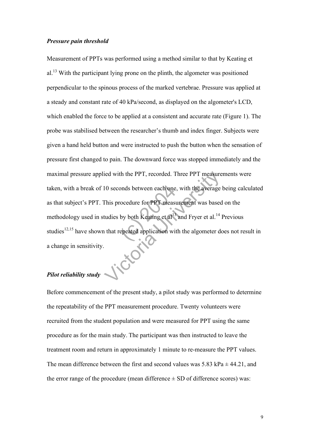#### *Pressure pain threshold*

onds between each one<br>cocedure for PPT measure<br>by both Keating et al<sup>13</sup><br>epeated application wit **Licity** Measurement of PPTs was performed using a method similar to that by Keating et  $al.<sup>13</sup>$  With the participant lying prone on the plinth, the algometer was positioned perpendicular to the spinous process of the marked vertebrae. Pressure was applied at a steady and constant rate of 40 kPa/second, as displayed on the algometer's LCD, which enabled the force to be applied at a consistent and accurate rate (Figure 1). The probe was stabilised between the researcher's thumb and index finger. Subjects were given a hand held button and were instructed to push the button when the sensation of pressure first changed to pain. The downward force was stopped immediately and the maximal pressure applied with the PPT, recorded. Three PPT measurements were taken, with a break of 10 seconds between each one, with the average being calculated as that subject's PPT. This procedure for PPT measurement was based on the methodology used in studies by both Keating et al<sup>13</sup> and Fryer et al.<sup>14</sup> Previous studies<sup>12,15</sup> have shown that repeated application with the algometer does not result in a change in sensitivity.

## *Pilot reliability study*

Before commencement of the present study, a pilot study was performed to determine the repeatability of the PPT measurement procedure. Twenty volunteers were recruited from the student population and were measured for PPT using the same procedure as for the main study. The participant was then instructed to leave the treatment room and return in approximately 1 minute to re-measure the PPT values. The mean difference between the first and second values was  $5.83 \text{ kPa} \pm 44.21$ , and the error range of the procedure (mean difference  $\pm$  SD of difference scores) was: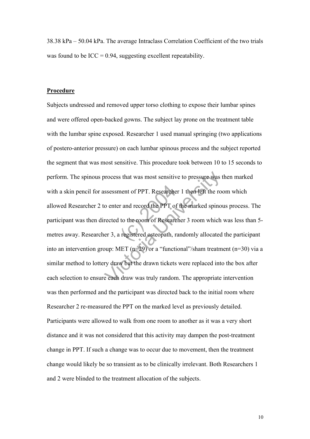38.38 kPa – 50.04 kPa. The average Intraclass Correlation Coefficient of the two trials was found to be  $\text{ICC} = 0.94$ , suggesting excellent repeatability.

#### **Procedure**

nent of PPT. Researcher<br>
r and record the PPT of<br>
to the room of Researc<br>
registered osteopath, r brocess that was most sensitive to pressure was<br>ssessment of PPT. Researcher 1 then left the ro<br>o enter and record the PPT of the marked spino<br>rected to the room of Researcher 3 room which<br>er 3, a registered osteopath, ran Subjects undressed and removed upper torso clothing to expose their lumbar spines and were offered open-backed gowns. The subject lay prone on the treatment table with the lumbar spine exposed. Researcher 1 used manual springing (two applications of postero-anterior pressure) on each lumbar spinous process and the subject reported the segment that was most sensitive. This procedure took between 10 to 15 seconds to perform. The spinous process that was most sensitive to pressure was then marked with a skin pencil for assessment of PPT. Researcher 1 then left the room which allowed Researcher 2 to enter and record the PPT of the marked spinous process. The participant was then directed to the room of Researcher 3 room which was less than 5 metres away. Researcher 3, a registered osteopath, randomly allocated the participant into an intervention group: MET (n=29) or a "functional"/sham treatment (n=30) via a similar method to lottery draw but the drawn tickets were replaced into the box after each selection to ensure each draw was truly random. The appropriate intervention was then performed and the participant was directed back to the initial room where Researcher 2 re-measured the PPT on the marked level as previously detailed. Participants were allowed to walk from one room to another as it was a very short distance and it was not considered that this activity may dampen the post-treatment change in PPT. If such a change was to occur due to movement, then the treatment change would likely be so transient as to be clinically irrelevant. Both Researchers 1 and 2 were blinded to the treatment allocation of the subjects.

10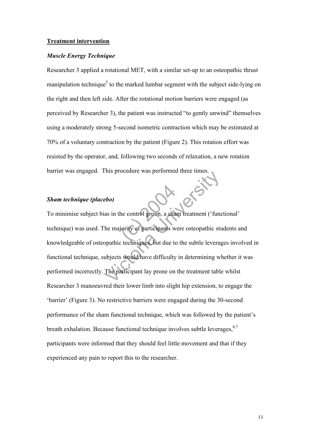#### **Treatment intervention**

#### *Muscle Energy Technique*

Researcher 3 applied a rotational MET, with a similar set-up to an osteopathic thrust manipulation technique<sup>5</sup> to the marked lumbar segment with the subject side-lying on the right and then left side. After the rotational motion barriers were engaged (as perceived by Researcher 3), the patient was instructed "to gently unwind" themselves using a moderately strong 5-second isometric contraction which may be estimated at 70% of a voluntary contraction by the patient (Figure 2). This rotation effort was resisted by the operator, and, following two seconds of relaxation, a new rotation barrier was engaged. This procedure was performed three times.

#### *Sham technique (placebo)*

the control group, a shat<br>jority of participants w *ebo)*<br>as in the control group, a sham treatment ('func<br>he majority of participants were osteopathic stu<br>opathic techniques, but due to the subtle leverage<br>ubjects would have difficulty in determining wl<br>The participant la To minimise subject bias in the control group, a sham treatment ('functional' technique) was used. The majority of participants were osteopathic students and knowledgeable of osteopathic techniques, but due to the subtle leverages involved in functional technique, subjects would have difficulty in determining whether it was performed incorrectly. The participant lay prone on the treatment table whilst Researcher 3 manoeuvred their lower limb into slight hip extension, to engage the 'barrier' (Figure 3). No restrictive barriers were engaged during the 30-second performance of the sham functional technique, which was followed by the patient's breath exhalation. Because functional technique involves subtle leverages, <sup>6,7</sup> participants were informed that they should feel little movement and that if they experienced any pain to report this to the researcher.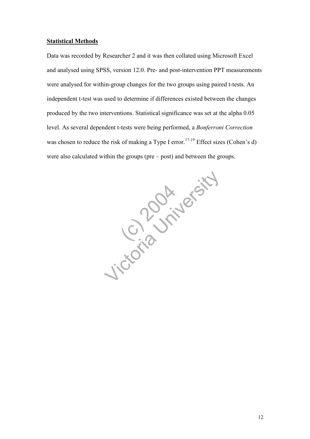#### **Statistical Methods**

Data was recorded by Researcher 2 and it was then collated using Microsoft Excel and analysed using SPSS, version 12.0. Pre- and post-intervention PPT measurements were analysed for within-group changes for the two groups using paired t-tests. An independent t-test was used to determine if differences existed between the changes produced by the two interventions. Statistical significance was set at the alpha 0.05 level. As several dependent t-tests were being performed, a *Bonferroni Correction* was chosen to reduce the risk of making a Type I error.<sup>17-19</sup> Effect sizes (Cohen's d) were also calculated within the groups (pre – post) and between the groups.

(c) 2012 Jicordia University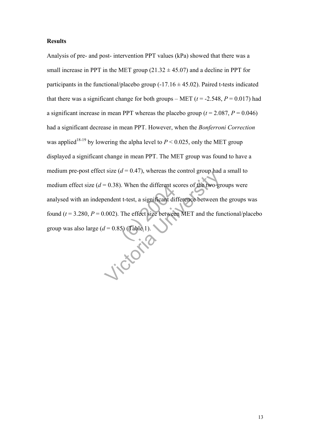#### **Results**

(2004). When the different solution<br>t t-test, a significant different solution<br>The effect size betwee<br>5) (Table 1).  $V = 0.38$ . When the different scores of the two greedent t-test, a significant difference between the function of the two greedent t-test, a significant difference between the function of  $U = 0.85$ ) (Table 1). Analysis of pre- and post- intervention PPT values (kPa) showed that there was a small increase in PPT in the MET group  $(21.32 \pm 45.07)$  and a decline in PPT for participants in the functional/placebo group  $(-17.16 \pm 45.02)$ . Paired t-tests indicated that there was a significant change for both groups – MET ( $t = -2.548$ ,  $P = 0.017$ ) had a significant increase in mean PPT whereas the placebo group ( $t = 2.087$ ,  $P = 0.046$ ) had a significant decrease in mean PPT. However, when the *Bonferroni Correction* was applied<sup>18-19</sup> by lowering the alpha level to  $P < 0.025$ , only the MET group displayed a significant change in mean PPT. The MET group was found to have a medium pre-post effect size  $(d = 0.47)$ , whereas the control group had a small to medium effect size  $(d = 0.38)$ . When the different scores of the two groups were analysed with an independent t-test, a significant difference between the groups was found ( $t = 3.280$ ,  $P = 0.002$ ). The effect size between MET and the functional/placebo group was also large  $(d = 0.85)$  (Table 1).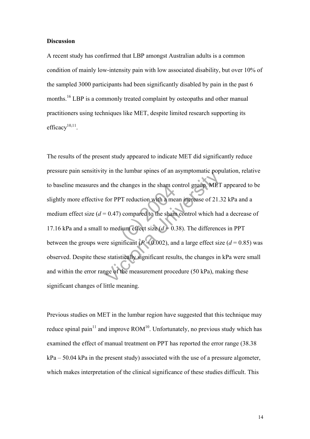#### **Discussion**

A recent study has confirmed that LBP amongst Australian adults is a common condition of mainly low-intensity pain with low associated disability, but over 10% of the sampled 3000 participants had been significantly disabled by pain in the past 6 months.<sup>16</sup> LBP is a commonly treated complaint by osteopaths and other manual practitioners using techniques like MET, despite limited research supporting its efficacy $10,11$ .

The sham control of the sham<br>(2) Compared to the sham<br>(2) compared to the sham<br>(2) Compared to the sham<br>(2) Compared to the sham<br>(2) Compared to the sham<br>(2) Compared to the sham<br>(2) Compared to the sham<br>(2) Compared to t ord the changes in the sham control group. MET<br>for PPT reduction with a mean increase of 21.3<br>= 0.47) compared to the sham control which had<br>to medium effect size  $(d = 0.38)$ . The difference<br>re significant ( $P = 0.002$ ), an The results of the present study appeared to indicate MET did significantly reduce pressure pain sensitivity in the lumbar spines of an asymptomatic population, relative to baseline measures and the changes in the sham control group. MET appeared to be slightly more effective for PPT reduction with a mean increase of 21.32 kPa and a medium effect size  $(d = 0.47)$  compared to the sham control which had a decrease of 17.16 kPa and a small to medium effect size  $(d = 0.38)$ . The differences in PPT between the groups were significant ( $P = 0.002$ ), and a large effect size ( $d = 0.85$ ) was observed. Despite these statistically significant results, the changes in kPa were small and within the error range of the measurement procedure (50 kPa), making these significant changes of little meaning.

Previous studies on MET in the lumbar region have suggested that this technique may reduce spinal pain<sup>11</sup> and improve  $ROM<sup>10</sup>$ . Unfortunately, no previous study which has examined the effect of manual treatment on PPT has reported the error range (38.38 kPa – 50.04 kPa in the present study) associated with the use of a pressure algometer, which makes interpretation of the clinical significance of these studies difficult. This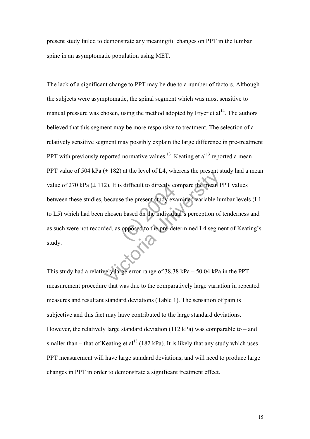present study failed to demonstrate any meaningful changes on PPT in the lumbar spine in an asymptomatic population using MET.

Solution to directly contained the present study examples in based on the individue opposed to the pre-determined the pre-determined the pre-determined the pre-determined the pre-determined the pre-determined the pre-deter  $\pm$  182) at the level of E<sub>4</sub>, whereas the present s<br>2). It is difficult to directly compare the mean P<br>because the present study examined variable lu<br>chosen based on the individual's perception of<br>ded, as opposed to the The lack of a significant change to PPT may be due to a number of factors. Although the subjects were asymptomatic, the spinal segment which was most sensitive to manual pressure was chosen, using the method adopted by Fryer et al<sup>14</sup>. The authors believed that this segment may be more responsive to treatment. The selection of a relatively sensitive segment may possibly explain the large difference in pre-treatment PPT with previously reported normative values.<sup>13</sup> Keating et al<sup>13</sup> reported a mean PPT value of 504 kPa  $(\pm 182)$  at the level of L4, whereas the present study had a mean value of 270 kPa  $(± 112)$ . It is difficult to directly compare the mean PPT values between these studies, because the present study examined variable lumbar levels (L1 to L5) which had been chosen based on the individual's perception of tenderness and as such were not recorded, as opposed to the pre-determined L4 segment of Keating's study.

This study had a relatively large error range of 38.38 kPa – 50.04 kPa in the PPT measurement procedure that was due to the comparatively large variation in repeated measures and resultant standard deviations (Table 1). The sensation of pain is subjective and this fact may have contributed to the large standard deviations. However, the relatively large standard deviation (112 kPa) was comparable to – and smaller than – that of Keating et al<sup>13</sup> (182 kPa). It is likely that any study which uses PPT measurement will have large standard deviations, and will need to produce large changes in PPT in order to demonstrate a significant treatment effect.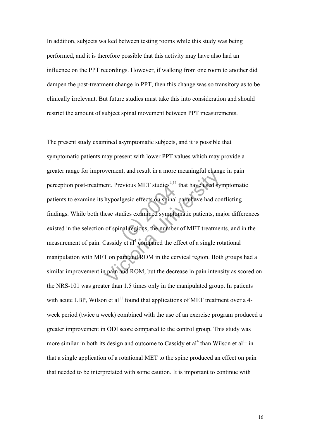In addition, subjects walked between testing rooms while this study was being performed, and it is therefore possible that this activity may have also had an influence on the PPT recordings. However, if walking from one room to another did dampen the post-treatment change in PPT, then this change was so transitory as to be clinically irrelevant. But future studies must take this into consideration and should restrict the amount of subject spinal movement between PPT measurements.

evious MET studies<br>lgesic effects on spinal<br>udies examined symptom<br>nal regions, the number wenter, and result in a more incaring the change<br>ent. Previous MET studies<sup>4,11</sup> that have used syn<br>hypoalgesic effects on spinal pain have had cor<br>nese studies examined symptomatic patients, ma<br>of spinal regions, the numb The present study examined asymptomatic subjects, and it is possible that symptomatic patients may present with lower PPT values which may provide a greater range for improvement, and result in a more meaningful change in pain perception post-treatment. Previous MET studies<sup>4,11</sup> that have used symptomatic patients to examine its hypoalgesic effects on spinal pain have had conflicting findings. While both these studies examined symptomatic patients, major differences existed in the selection of spinal regions, the number of MET treatments, and in the measurement of pain. Cassidy et al<sup>4</sup> compared the effect of a single rotational manipulation with MET on pain and ROM in the cervical region. Both groups had a similar improvement in pain and ROM, but the decrease in pain intensity as scored on the NRS-101 was greater than 1.5 times only in the manipulated group. In patients with acute LBP, Wilson et al<sup>11</sup> found that applications of MET treatment over a 4week period (twice a week) combined with the use of an exercise program produced a greater improvement in ODI score compared to the control group. This study was more similar in both its design and outcome to Cassidy et al<sup>4</sup> than Wilson et al<sup>11</sup> in that a single application of a rotational MET to the spine produced an effect on pain that needed to be interpretated with some caution. It is important to continue with

16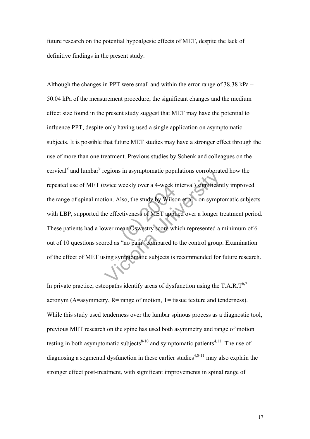future research on the potential hypoalgesic effects of MET, despite the lack of definitive findings in the present study.

weekly over a 4-week 1<br>lso, the study by Wilso<br>ctiveness of MET appl<br>ean Oswestry score wh<br>"no pain" compared to Egions in asymptomatic populations corroborate<br>twice weekly over a 4-week interval) significan<br>ion. Also, the study by Wilson et al<sup>11</sup> on sympt<br>nee effectiveness of MET applied over a longer t<br>wer mean Oswestry score whic Although the changes in PPT were small and within the error range of 38.38 kPa – 50.04 kPa of the measurement procedure, the significant changes and the medium effect size found in the present study suggest that MET may have the potential to influence PPT, despite only having used a single application on asymptomatic subjects. It is possible that future MET studies may have a stronger effect through the use of more than one treatment. Previous studies by Schenk and colleagues on the cervical<sup>8</sup> and lumbar<sup>9</sup> regions in asymptomatic populations corroborated how the repeated use of MET (twice weekly over a 4-week interval) significantly improved the range of spinal motion. Also, the study by Wilson et  $al<sup>11</sup>$  on symptomatic subjects with LBP, supported the effectiveness of MET applied over a longer treatment period. These patients had a lower mean Oswestry score which represented a minimum of 6 out of 10 questions scored as "no pain" compared to the control group. Examination of the effect of MET using symptomatic subjects is recommended for future research.

In private practice, osteopaths identify areas of dysfunction using the T.A.R.T $6,7$ acronym (A=asymmetry, R= range of motion, T= tissue texture and tenderness). While this study used tenderness over the lumbar spinous process as a diagnostic tool, previous MET research on the spine has used both asymmetry and range of motion testing in both asymptomatic subjects<sup>8-10</sup> and symptomatic patients<sup>4,11</sup>. The use of diagnosing a segmental dysfunction in these earlier studies<sup>4,8-11</sup> may also explain the stronger effect post-treatment, with significant improvements in spinal range of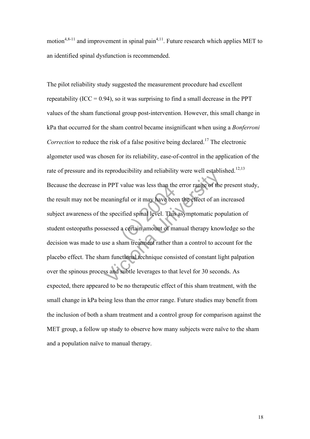motion<sup>4,8-11</sup> and improvement in spinal pain<sup>4,11</sup>. Future research which applies MET to an identified spinal dysfunction is recommended.

value was less than the<br>gful or it may have bee<br>eified spinal level. This<br>a certain amount of man<br>ham treatment rather the reproductionly and renability were well estable.<br>In PPT value was less than the error range of the<br>neaningful or it may have been the effect of an is<br>ne specified spinal level. This asymptomatic pop<br>sessed a certain amount The pilot reliability study suggested the measurement procedure had excellent repeatability (ICC =  $0.94$ ), so it was surprising to find a small decrease in the PPT values of the sham functional group post-intervention. However, this small change in kPa that occurred for the sham control became insignificant when using a *Bonferroni Correction* to reduce the risk of a false positive being declared.<sup>17</sup> The electronic algometer used was chosen for its reliability, ease-of-control in the application of the rate of pressure and its reproducibility and reliability were well established.<sup>12,13</sup> Because the decrease in PPT value was less than the error range of the present study, the result may not be meaningful or it may have been the effect of an increased subject awareness of the specified spinal level. This asymptomatic population of student osteopaths possessed a certain amount of manual therapy knowledge so the decision was made to use a sham treatment rather than a control to account for the placebo effect. The sham functional technique consisted of constant light palpation over the spinous process and subtle leverages to that level for 30 seconds. As expected, there appeared to be no therapeutic effect of this sham treatment, with the small change in kPa being less than the error range. Future studies may benefit from the inclusion of both a sham treatment and a control group for comparison against the MET group, a follow up study to observe how many subjects were naïve to the sham and a population naïve to manual therapy.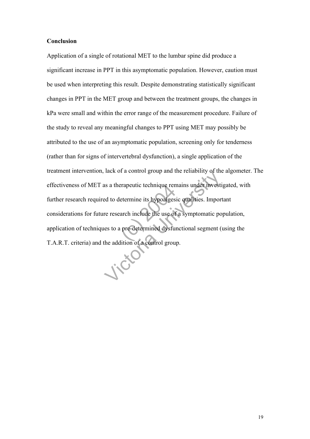#### **Conclusion**

erapeutic technique ren<br>
etermine its hypoalges<br>
arch include the use of<br>
pre-determined dysful<br>
lition of a control group Application of a single of rotational MET to the lumbar spine did produce a significant increase in PPT in this asymptomatic population. However, caution must be used when interpreting this result. Despite demonstrating statistically significant changes in PPT in the MET group and between the treatment groups, the changes in kPa were small and within the error range of the measurement procedure. Failure of the study to reveal any meaningful changes to PPT using MET may possibly be attributed to the use of an asymptomatic population, screening only for tenderness (rather than for signs of intervertebral dysfunction), a single application of the treatment intervention, lack of a control group and the reliability of the algometer. The effectiveness of MET as a therapeutic technique remains under investigated, with further research required to determine its hypoalgesic qualities. Important considerations for future research include the use of a symptomatic population, application of techniques to a pre-determined dysfunctional segment (using the T.A.R.T. criteria) and the addition of a control group.

Jictor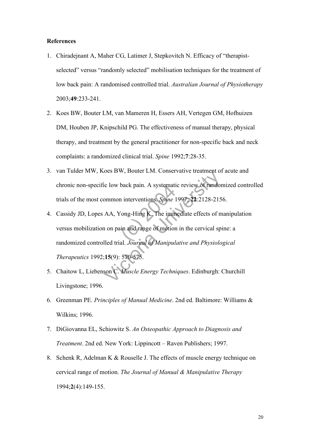#### **References**

- 1. Chiradejnant A, Maher CG, Latimer J, Stepkovitch N. Efficacy of "therapistselected" versus "randomly selected" mobilisation techniques for the treatment of low back pain: A randomised controlled trial. *Australian Journal of Physiotherapy* 2003;**49**:233-241.
- 2. Koes BW, Bouter LM, van Mameren H, Essers AH, Vertegen GM, Hofhuizen DM, Houben JP, Knipschild PG. The effectiveness of manual therapy, physical therapy, and treatment by the general practitioner for non-specific back and neck complaints: a randomized clinical trial. *Spine* 1992;**7**:28-35.
- 3. van Tulder MW, Koes BW, Bouter LM. Conservative treatment of acute and chronic non-specific low back pain. A systematic review of randomized controlled trials of the most common interventions. *Spine* 1997; **22**:2128-2156.
- back pain. A systemation<br>in interventions. Spine 1<br>ong-Hing K. The imm<br>in and range of motion<br>al Journal of Manipul Subset of the University of random<br>
Subset of the University of Fandor<br>
University 22:2128-215<br>
AA, Yong-Hing K. The immediate effects of m<br>
1 on pain and range of motion in the cervical sp<br>
Uled trial. Journal of Manipula 4. Cassidy JD, Lopes AA, Yong-Hing K. The immediate effects of manipulation versus mobilization on pain and range of motion in the cervical spine: a randomized controlled trial. *Journal of Manipulative and Physiological Therapeutics* 1992;**15**(9): 570-575.
- 5. Chaitow L, Liebenson C. *Muscle Energy Techniques*. Edinburgh: Churchill Livingstone; 1996.
- 6. Greenman PE. *Principles of Manual Medicine*. 2nd ed. Baltimore: Williams & Wilkins; 1996.
- 7. DiGiovanna EL, Schiowitz S. *An Osteopathic Approach to Diagnosis and Treatment*. 2nd ed. New York: Lippincott – Raven Publishers; 1997.
- 8. Schenk R, Adelman K & Rouselle J. The effects of muscle energy technique on cervical range of motion. *The Journal of Manual & Manipulative Therapy* 1994;**2**(4):149-155.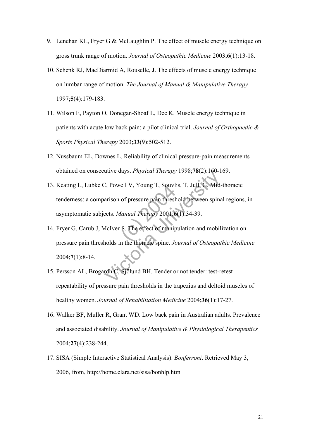- 9. Lenehan KL, Fryer G & McLaughlin P. The effect of muscle energy technique on gross trunk range of motion. *Journal of Osteopathic Medicine* 2003;**6**(1):13-18.
- 10. Schenk RJ, MacDiarmid A, Rouselle, J. The effects of muscle energy technique on lumbar range of motion. *The Journal of Manual & Manipulative Therapy* 1997;**5**(4):179-183.
- 11. Wilson E, Payton O, Donegan-Shoaf L, Dec K. Muscle energy technique in patients with acute low back pain: a pilot clinical trial. *Journal of Orthopaedic & Sports Physical Therapy* 2003;**33**(9):502-512.
- 12. Nussbaum EL, Downes L. Reliability of clinical pressure-pain measurements obtained on consecutive days. *Physical Therapy* 1998;**78**(2):160-169.
- Figure 1, Souving 1, Souving 1, Souving 1, Souving 1, Souving 1, Souving 1, Souving 1, Souving 1, Souving 1, Souving 1, The effect of manipulation and the theoretic spine 1,  $\frac{1}{2}$ E., Powell V, Young T, Souvlis, T, Jull, G. Midarison of pressure pain threshold between spinal arison of pressure pain threshold between spinal ects. *Manual Therapy* 2001;6(1):34-39.<br>AcIver S. The effect of manipulation 13. Keating L, Lubke C, Powell V, Young T, Souvlis, T, Jull, G. Mid-thoracic tenderness: a comparison of pressure pain threshold between spinal regions, in asymptomatic subjects. *Manual Therapy* 2001;**6**(1):34-39.
- 14. Fryer G, Carub J, McIver S. The effect of manipulation and mobilization on pressure pain thresholds in the thoracic spine. *Journal of Osteopathic Medicine* 2004;**7**(1):8-14.
- 15. Persson AL, Brogårdh C, Sjölund BH. Tender or not tender: test-retest repeatability of pressure pain thresholds in the trapezius and deltoid muscles of healthy women. *Journal of Rehabilitation Medicine* 2004;**36**(1):17-27.
- 16. Walker BF, Muller R, Grant WD. Low back pain in Australian adults. Prevalence and associated disability. *Journal of Manipulative & Physiological Therapeutics* 2004;**27**(4):238-244.
- 17. SISA (Simple Interactive Statistical Analysis). *Bonferroni*. Retrieved May 3, 2006, from, http://home.clara.net/sisa/bonhlp.htm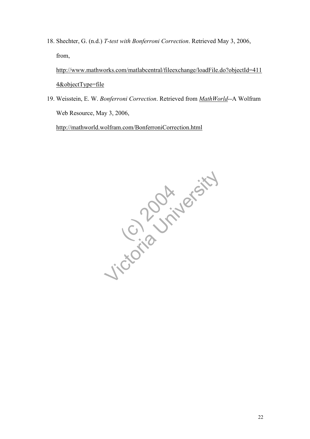18. Shechter, G. (n.d.) *T-test with Bonferroni Correction*. Retrieved May 3, 2006, from,

http://www.mathworks.com/matlabcentral/fileexchange/loadFile.do?objectId=411 4&objectType=file

19. Weisstein, E. W. *Bonferroni Correction*. Retrieved from *MathWorld*--A Wolfram Web Resource, May 3, 2006,

http://mathworld.wolfram.com/BonferroniCorrection.html

(c) 2012 Jicordia University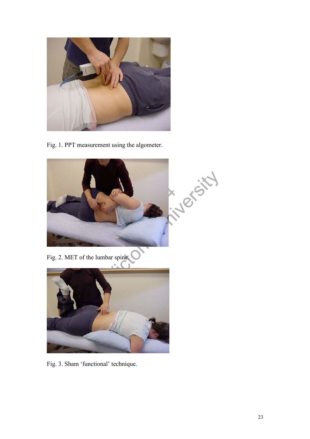

Fig. 1. PPT measurement using the algometer.



Fig. 3. Sham 'functional' technique.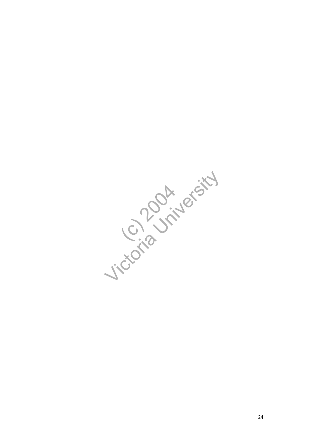(c) 2012 Jicordia University